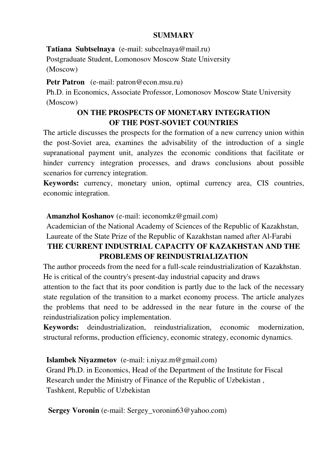# **SUMMARY**

**Tаtiаnа Subtselnаyа** (e-mаil: subcelnаyа@mаil.ru)

Postgraduate Student, Lomonosov Moscow State University (Moscow)

Petr Patron (e-mail: patron@econ.msu.ru)

Ph.D. in Economics, Associate Professor, Lomonosov Moscow State University (Moscow)

# **ON THE PROSPECTS OF MONETARY INTEGRATION OF THE POST-SOVIET COUNTRIES**

The article discusses the prospects for the formation of a new currency union within the post-Soviet area, examines the advisability of the introduction of a single supranational payment unit, analyzes the economic conditions that facilitate or hinder currency integration processes, and draws conclusions about possible scenarios for currency integration.

**Keywords:** currency, monetary union, optimal currency area, CIS countries, economic integration.

# **Amanzhol Koshanov** (e-mail: ieconomkz@gmail.com)

Academician of the National Academy of Sciences of the Republic of Kazakhstan, Laureate of the State Prize of the Republic of Kazakhstan named after Al-Farabi

# **THE CURRENT INDUSTRIAL CAPACITY OF KAZAKHSTAN AND THE PROBLEMS OF REINDUSTRIALIZATION**

The author proceeds from the need for a full-scale reindustrialization of Kazakhstan. He is critical of the country's present-day industrial capacity and draws

attention to the fact that its poor condition is partly due to the lack of the necessary state regulation of the transition to a market economy process. The article analyzes the problems that need to be addressed in the near future in the course of the reindustrialization policy implementation.

**Keywords:** deindustrialization, reindustrialization, economic modernization, structural reforms, production efficiency, economic strategy, economic dynamics.

# **Islambek Niyazmetov** (e-mail: i.niyaz.m@gmail.com)

Grand Ph.D. in Economics, Head of the Department of the Institute for Fiscal Research under the Ministry of Finance of the Republic of Uzbekistan , Tashkent, Republic of Uzbekistan

 **Sergey Voronin** (e-mail: Sergey\_voronin63@yahoo.com)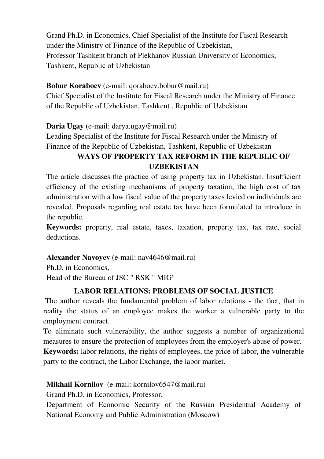Grand Ph.D. in Economics, Chief Specialist of the Institute for Fiscal Research under the Ministry of Finance of the Republic of Uzbekistan, Professor Tashkent branch of Plekhanov Russian University of Economics, Tashkent, Republic of Uzbekistan

# **Bobur Koraboev** (e-mail: qoraboev.bobur@mail.ru)

Chief Specialist of the Institute for Fiscal Research under the Ministry of Finance of the Republic of Uzbekistan, Tashkent , Republic of Uzbekistan

**Daria Ugay** (e-mail: darya.ugay@mail.ru)

Leading Specialist of the Institute for Fiscal Research under the Ministry of Finance of the Republic of Uzbekistan, Tashkent, Republic of Uzbekistan

# **WAYS OF PROPERTY TAX REFORM IN THE REPUBLIC OF UZBEKISTAN**

The article discusses the practice of using property tax in Uzbekistan. Insufficient efficiency of the existing mechanisms of property taxation, the high cost of tax administration with a low fiscal value of the property taxes levied on individuals are revealed. Proposals regarding real estate tax have been formulated to introduce in the republic.

**Keywords:** property, real estate, taxes, taxation, property tax, tax rate, social deductions.

# **Аlexander Navoyev** (е-mail: nav4646@mail.ru)

Ph.D. in Economics, Head of the Bureau of JSC " RSK " MIG"

# **LABOR RELATIONS: PROBLEMS OF SOCIAL JUSTICE**

The author reveals the fundamental problem of labor relations - the fact, that in reality the status of an employee makes the worker a vulnerable party to the employment contract.

To eliminate such vulnerability, the author suggests a number of organizational measures to ensure the protection of employees from the employer's abuse of power.

**Keywords:** labor relations, the rights of employees, the price of labor, the vulnerable party to the contract, the Labor Exchange, the labor market.

# **Mikhail Kornilov** (e-mail: kornilov6547@mail.ru)

Grand Ph.D. in Economics, Professor,

Department of Economic Security of the Russian Presidential Academy of National Economy and Public Administration (Moscow)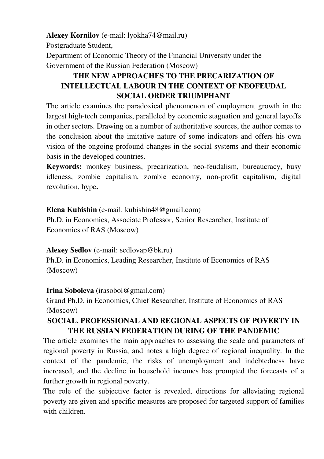**Alexey Kornilov** (e-mail: lyokha74@mail.ru)

Postgraduate Student,

Department of Economic Theory of the Financial University under the Government of the Russian Federation (Moscow)

# **THE NEW APPROACHES TO THE PRECARIZATION OF INTELLECTUAL LABOUR IN THE CONTEXT OF NEOFEUDAL SOCIAL ORDER TRIUMPHANT**

The article examines the paradoxical phenomenon of employment growth in the largest high-tech companies, paralleled by economic stagnation and general layoffs in other sectors. Drawing on a number of authoritative sources, the author comes to the conclusion about the imitative nature of some indicators and offers his own vision of the ongoing profound changes in the social systems and their economic basis in the developed countries.

**Keywords:** monkey business, precarization, neo-feudalism, bureaucracy, busy idleness, zombie capitalism, zombie economy, non-profit capitalism, digital revolution, hype**.**

# **Elena Kubishin** (e-mail: kubishin48@gmail.com)

Ph.D. in Economics, Associate Professor, Senior Researcher, Institute of Economics of RAS (Moscow)

# **Alexey Sedlov** (e-mail: sedlovap@bk.ru)

Ph.D. in Economics, Leading Researcher, Institute of Economics of RAS (Moscow)

# **Irina Soboleva** (irasobol@gmail.com)

Grand Ph.D. in Economics, Chief Researcher, Institute of Economics of RAS (Moscow)

# **SOCIAL, PROFESSIONAL AND REGIONAL ASPECTS OF POVERTY IN THE RUSSIAN FEDERATION DURING OF THE PANDEMIC**

The article examines the main approaches to assessing the scale and parameters of regional poverty in Russia, and notes a high degree of regional inequality. In the context of the pandemic, the risks of unemployment and indebtedness have increased, and the decline in household incomes has prompted the forecasts of a further growth in regional poverty.

The role of the subjective factor is revealed, directions for alleviating regional poverty are given and specific measures are proposed for targeted support of families with children.